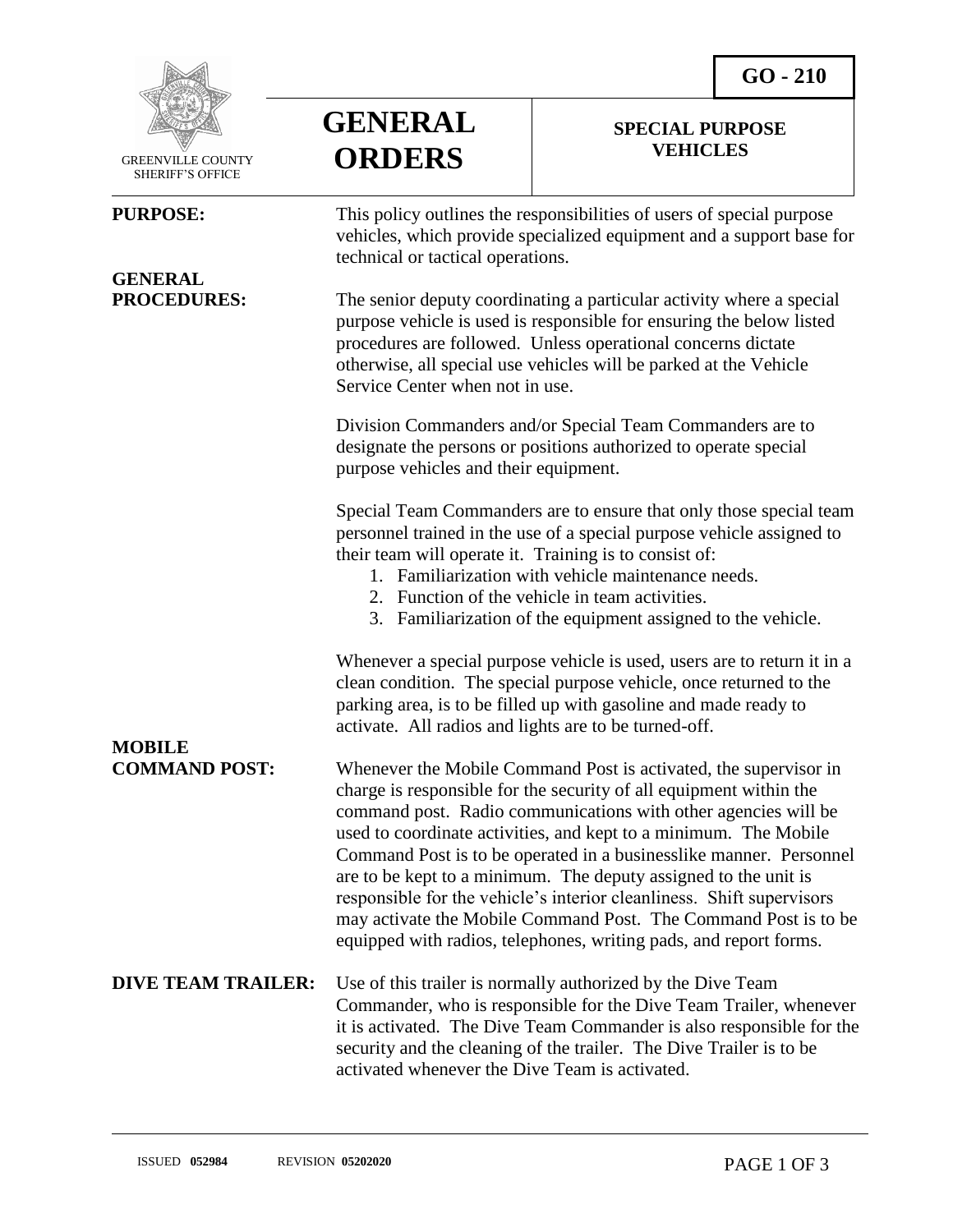**SPECIAL PURPOSE VEHICLES** 



GREENVILLE COUNTY

# **GENERAL**

| <b>SHERIFF'S OFFICE</b> |                                                                                                                                                                                                                                                                                                                                                                               |                                                                                                                                                                                                                                                                                                                                                                                                                                                                                                |
|-------------------------|-------------------------------------------------------------------------------------------------------------------------------------------------------------------------------------------------------------------------------------------------------------------------------------------------------------------------------------------------------------------------------|------------------------------------------------------------------------------------------------------------------------------------------------------------------------------------------------------------------------------------------------------------------------------------------------------------------------------------------------------------------------------------------------------------------------------------------------------------------------------------------------|
| <b>PURPOSE:</b>         | This policy outlines the responsibilities of users of special purpose<br>vehicles, which provide specialized equipment and a support base for<br>technical or tactical operations.                                                                                                                                                                                            |                                                                                                                                                                                                                                                                                                                                                                                                                                                                                                |
| <b>GENERAL</b>          |                                                                                                                                                                                                                                                                                                                                                                               |                                                                                                                                                                                                                                                                                                                                                                                                                                                                                                |
| <b>PROCEDURES:</b>      | The senior deputy coordinating a particular activity where a special<br>purpose vehicle is used is responsible for ensuring the below listed<br>procedures are followed. Unless operational concerns dictate<br>otherwise, all special use vehicles will be parked at the Vehicle<br>Service Center when not in use.                                                          |                                                                                                                                                                                                                                                                                                                                                                                                                                                                                                |
|                         | Division Commanders and/or Special Team Commanders are to<br>designate the persons or positions authorized to operate special<br>purpose vehicles and their equipment.                                                                                                                                                                                                        |                                                                                                                                                                                                                                                                                                                                                                                                                                                                                                |
|                         | Special Team Commanders are to ensure that only those special team<br>personnel trained in the use of a special purpose vehicle assigned to<br>their team will operate it. Training is to consist of:<br>1. Familiarization with vehicle maintenance needs.<br>2. Function of the vehicle in team activities.<br>3. Familiarization of the equipment assigned to the vehicle. |                                                                                                                                                                                                                                                                                                                                                                                                                                                                                                |
| <b>MOBILE</b>           | Whenever a special purpose vehicle is used, users are to return it in a<br>clean condition. The special purpose vehicle, once returned to the<br>parking area, is to be filled up with gasoline and made ready to<br>activate. All radios and lights are to be turned-off.                                                                                                    |                                                                                                                                                                                                                                                                                                                                                                                                                                                                                                |
|                         |                                                                                                                                                                                                                                                                                                                                                                               |                                                                                                                                                                                                                                                                                                                                                                                                                                                                                                |
| <b>COMMAND POST:</b>    |                                                                                                                                                                                                                                                                                                                                                                               | Whenever the Mobile Command Post is activated, the supervisor in<br>charge is responsible for the security of all equipment within the<br>command post. Radio communications with other agencies will be<br>used to coordinate activities, and kept to a minimum. The Mobile<br>Command Post is to be operated in a businesslike manner. Personnel<br>are to be kept to a minimum. The deputy assigned to the unit is<br>responsible for the vehicle's interior cleanliness. Shift supervisors |

**GENERAL**

**ORDERS**

### responsible for the vehicle's interior cleanliness. Shift supervisors may activate the Mobile Command Post. The Command Post is to be equipped with radios, telephones, writing pads, and report forms.

#### **DIVE TEAM TRAILER:** Use of this trailer is normally authorized by the Dive Team Commander, who is responsible for the Dive Team Trailer, whenever it is activated. The Dive Team Commander is also responsible for the security and the cleaning of the trailer. The Dive Trailer is to be activated whenever the Dive Team is activated.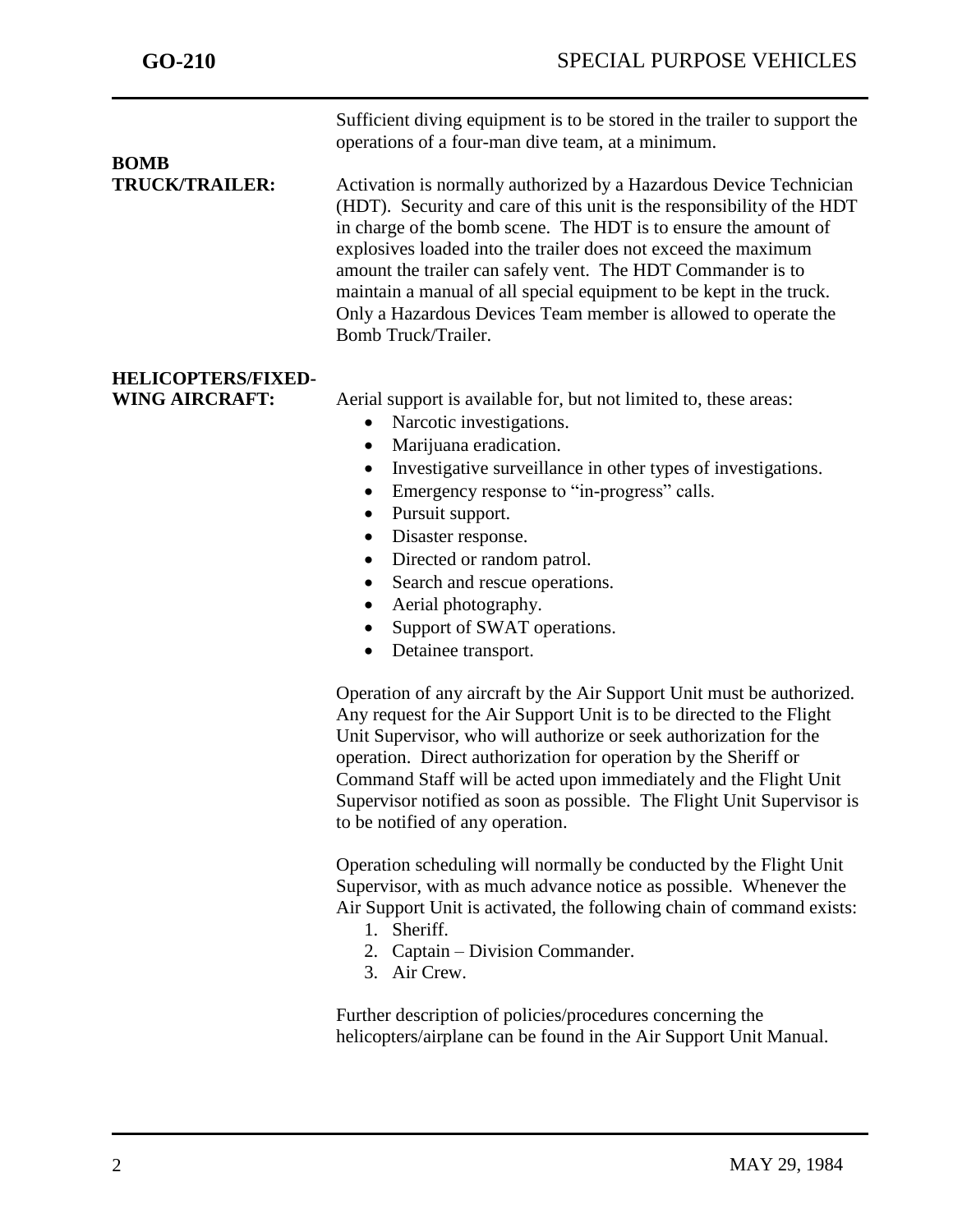Sufficient diving equipment is to be stored in the trailer to support the operations of a four-man dive team, at a minimum.

# **BOMB**

j

**TRUCK/TRAILER:** Activation is normally authorized by a Hazardous Device Technician (HDT). Security and care of this unit is the responsibility of the HDT in charge of the bomb scene. The HDT is to ensure the amount of explosives loaded into the trailer does not exceed the maximum amount the trailer can safely vent. The HDT Commander is to maintain a manual of all special equipment to be kept in the truck. Only a Hazardous Devices Team member is allowed to operate the Bomb Truck/Trailer.

## **HELICOPTERS/FIXED-**

**WING AIRCRAFT:** Aerial support is available for, but not limited to, these areas:

- Narcotic investigations.
- Marijuana eradication.
- Investigative surveillance in other types of investigations.
- Emergency response to "in-progress" calls.
- Pursuit support.
- Disaster response.
- Directed or random patrol.
- Search and rescue operations.
- Aerial photography.
- Support of SWAT operations.
- Detainee transport.

Operation of any aircraft by the Air Support Unit must be authorized. Any request for the Air Support Unit is to be directed to the Flight Unit Supervisor, who will authorize or seek authorization for the operation. Direct authorization for operation by the Sheriff or Command Staff will be acted upon immediately and the Flight Unit Supervisor notified as soon as possible. The Flight Unit Supervisor is to be notified of any operation.

Operation scheduling will normally be conducted by the Flight Unit Supervisor, with as much advance notice as possible. Whenever the Air Support Unit is activated, the following chain of command exists:

- 1. Sheriff.
- 2. Captain Division Commander.
- 3. Air Crew.

Further description of policies/procedures concerning the helicopters/airplane can be found in the Air Support Unit Manual.